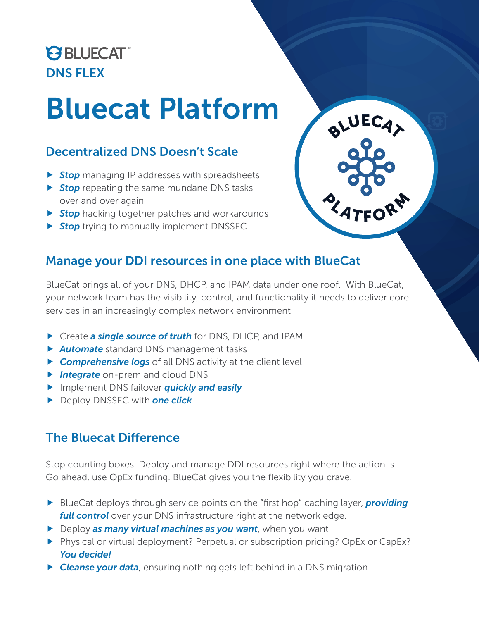# **PS BLUECAT** DNS FLEX

# Bluecat Platform

# Decentralized DNS Doesn't Scale

- **Fig. 3** Stop managing IP addresses with spreadsheets
- **Fig. 3** Stop repeating the same mundane DNS tasks over and over again
- **Fig. 3** Stop hacking together patches and workarounds
- **Fig. 3** Stop trying to manually implement DNSSEC



#### Manage your DDI resources in one place with BlueCat

BlueCat brings all of your DNS, DHCP, and IPAM data under one roof. With BlueCat, your network team has the visibility, control, and functionality it needs to deliver core services in an increasingly complex network environment.

- **F** Create **a single source of truth** for DNS, DHCP, and IPAM
- **Automate** standard DNS management tasks
- **F** *Comprehensive logs* of all DNS activity at the client level
- **Fintegrate** on-prem and cloud DNS
- **F** Implement DNS failover *quickly and easily*
- **F** Deploy DNSSEC with **one click**

#### The Bluecat Difference

Stop counting boxes. Deploy and manage DDI resources right where the action is. Go ahead, use OpEx funding. BlueCat gives you the flexibility you crave.

- **F** BlueCat deploys through service points on the "first hop" caching layer, **providing** *full control* over your DNS infrastructure right at the network edge.
- **F** Deploy **as many virtual machines as you want**, when you want
- **F** Physical or virtual deployment? Perpetual or subscription pricing? OpEx or CapEx? *You decide!*
- **F Cleanse your data**, ensuring nothing gets left behind in a DNS migration